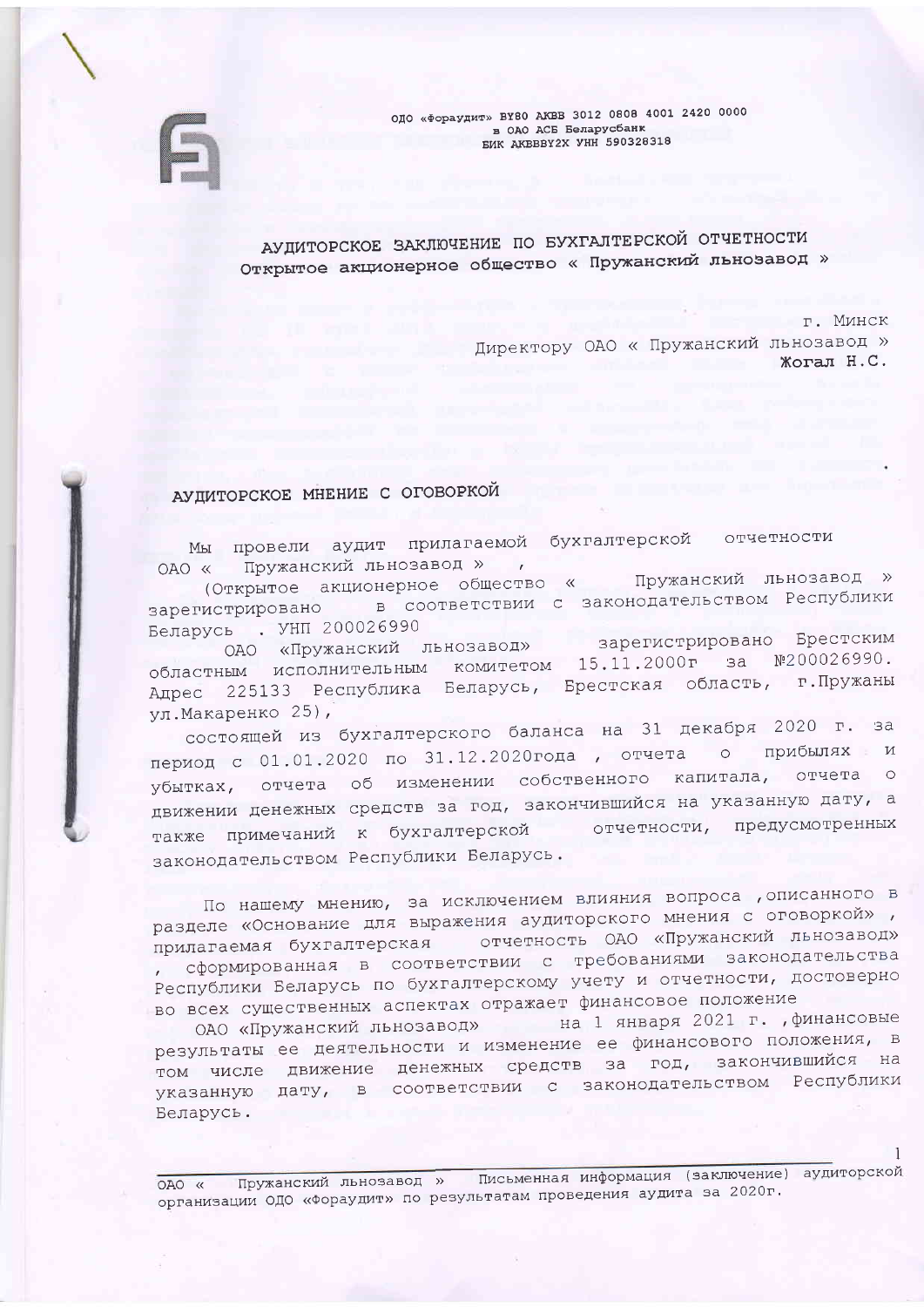ОДО «Фораудит» BY80 AKBB 3012 0808 4001 2420 0000 в ОАО АСБ Беларусбанк **БИК AKBBBY2X УНН 590328318** 

АУДИТОРСКОЕ ЗАКЛЮЧЕНИЕ ПО БУХГАЛТЕРСКОЙ ОТЧЕТНОСТИ Открытое акционерное общество « Пружанский льновавод »

> $\Gamma$ . M $MHEK$ Директору ОАО « Пружанский льнозавод » **Жогал Н.С.**

# АУДИТОРСКОЕ МНЕНИЕ С ОГОВОРКОЙ

Мы провели аудит прилагаемой бухгалтерской отчетности Пружанский льнозавод », OAO «

(Открытое акционерное общество « Пружанский льнозавод » зарегистрировано в соответствии с законодательством Республики Беларусь . УНП 200026990

ОАО «Пружанский льнозавод» зарегистрировано Брестским областным исполнительным комитетом 15.11.2000г за №200026990. Адрес 225133 Республика Беларусь, Брестская область, г. Пружаны ул. Макаренко 25),

состоящей из бухгалтерского баланса на 31 декабря 2020 г. за период с 01.01.2020 по 31.12.2020года, отчета о прибылях и убытках, отчета об изменении собственного капитала, отчета о движении денежных средств за год, закончившийся на указанную дату, а отчетности, предусмотренных также примечаний к бухгалтерской законодательством Республики Беларусь.

По нашему мнению, за исключением влияния вопроса , описанного в разделе «Основание для выражения аудиторского мнения с оговоркой», прилагаемая бухгалтерская стчетность ОАО «Пружанский льнозавод» , сформированная в соответствии с требованиями законодательства Республики Беларусь по бухгалтерскому учету и отчетности, достоверно во всех существенных аспектах отражает финансовое положение

ОАО «Пружанский льнозавод» на 1 января 2021 г. , финансовые результаты ее деятельности и изменение ее финансового положения, в том числе движение денежных средств за год, закончившийся на указанную дату, в соответствии с законодательством Республики Беларусь.

Пружанский льнозавод » Письменная информация (заключение) аудиторской OAO « организации ОДО «Фораудит» по результатам проведения аудита за 2020г.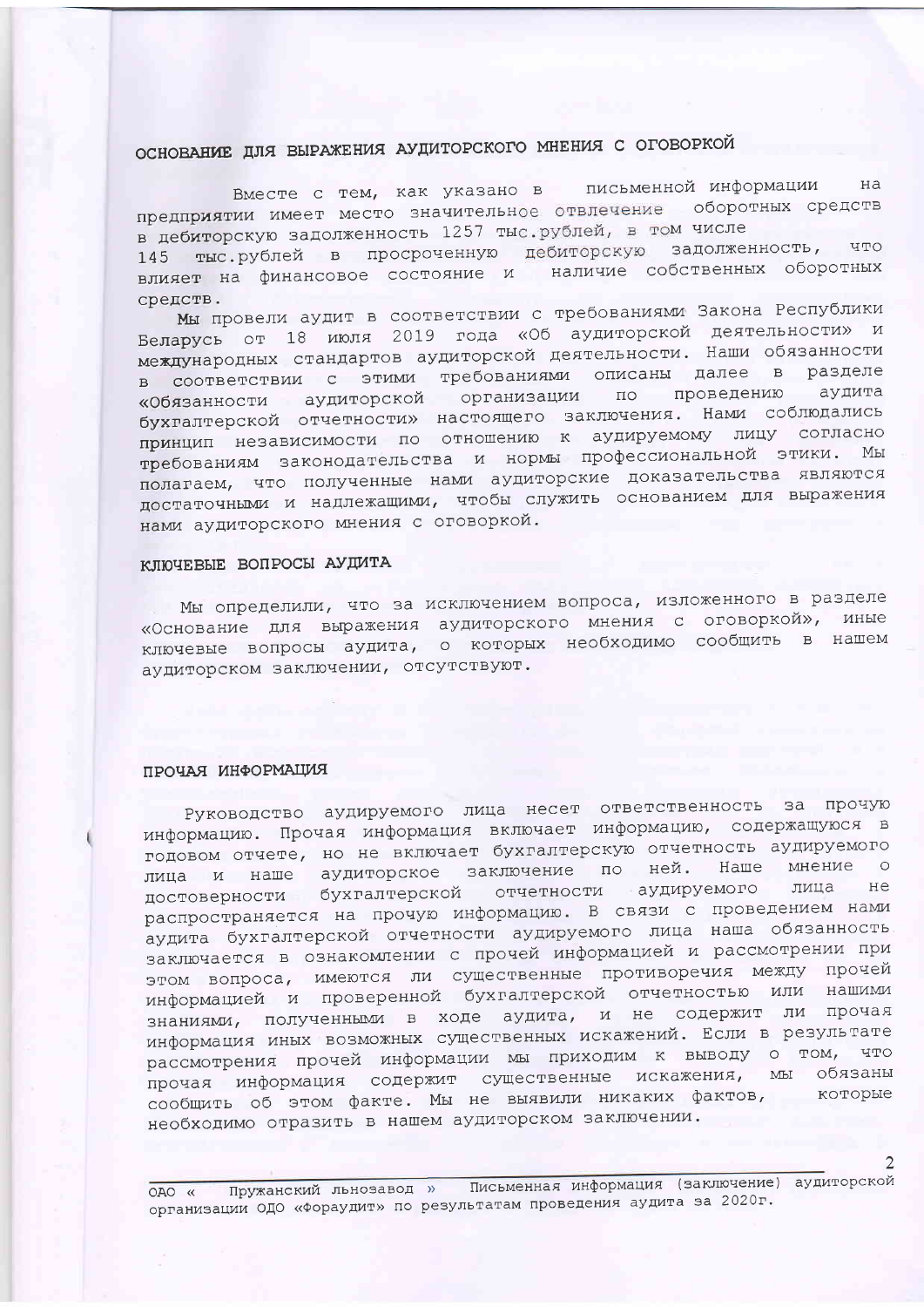# ОСНОВАНИЕ ДЛЯ ВЫРАЖЕНИЯ АУДИТОРСКОГО МНЕНИЯ С ОГОВОРКОЙ

Вместе с тем, как указано в письменной информации Ha предприятии имеет место значительное отвлечение оборотных средств в дебиторскую задолженность 1257 тыс. рублей, в том числе 145 тыс.рублей в просроченную дебиторскую задолженность, что влияет на финансовое состояние и наличие собственных оборотных средств.

Мы провели аудит в соответствии с требованиями Закона Республики Беларусь от 18 июля 2019 года «Об аудиторской деятельности» и международных стандартов аудиторской деятельности. Наши обязанности в соответствии с этими требованиями описаны далее в разделе «Обязанности аудиторской организации по проведению аудита бухгалтерской отчетности» настоящего заключения. Нами соблюдались принцип независимости по отношению к аудируемому лицу согласно требованиям законодательства и нормы профессиональной этики. Мы полагаем, что полученные нами аудиторские доказательства являются достаточными и надлежащими, чтобы служить основанием для выражения нами аудиторского мнения с оговоркой.

#### КЛЮЧЕВЫЕ ВОПРОСЫ АУДИТА

Мы определили, что за исключением вопроса, изложенного в разделе «Основание для выражения аудиторского мнения с оговоркой», иные ключевые вопросы аудита, о которых необходимо сообщить в нашем аудиторском заключении, отсутствуют.

#### ПРОЧАЯ ИНФОРМАЦИЯ

Руководство аудируемого лица несет ответственность за прочую информацию. Прочая информация включает информацию, содержащуюся в годовом отчете, но не включает бухгалтерскую отчетность аудируемого лица и наше аудиторское заключение по ней. Наше мнение о достоверности бухгалтерской отчетности аудируемого лица не распространяется на прочую информацию. В связи с проведением нами аудита бухгалтерской отчетности аудируемого лица наша обязанность заключается в ознакомлении с прочей информацией и рассмотрении при этом вопроса, имеются ли существенные противоречия между прочей информацией и проверенной бухгалтерской отчетностью или нашими знаниями, полученными в ходе аудита, и не содержит ли прочая информация иных возможных существенных искажений. Если в результате рассмотрения прочей информации мы приходим к выводу о том, что прочая информация содержит существенные искажения, мы обязаны сообщить об этом факте. Мы не выявили никаких фактов, которые необходимо отразить в нашем аудиторском заключении.

Пружанский льнозавод » Письменная информация (заключение) аудиторской OAO « организации ОДО «Фораудит» по результатам проведения аудита за 2020г.

2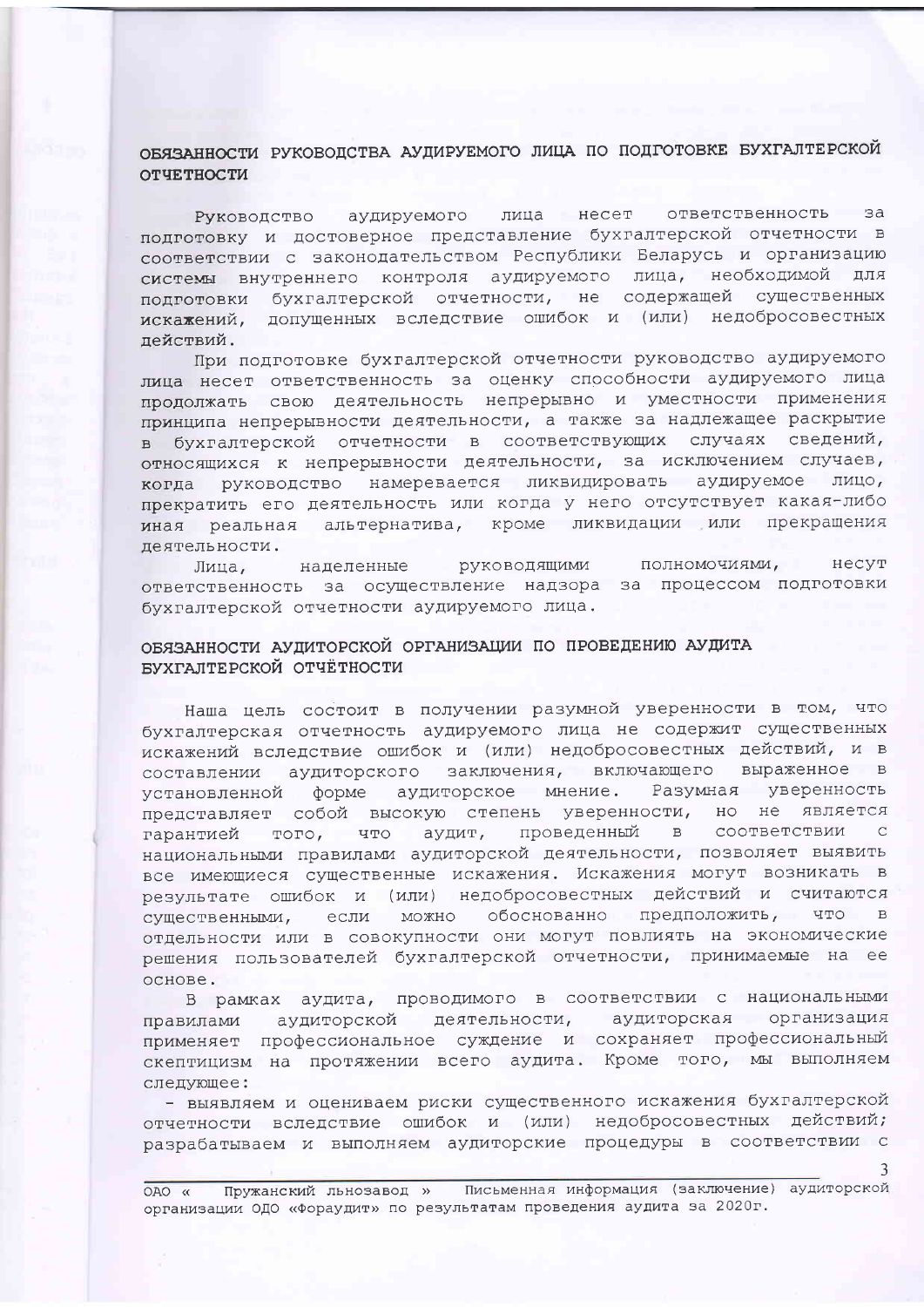## ОБЯЗАННОСТИ РУКОВОДСТВА АУДИРУЕМОГО ЛИЦА ПО ПОДГОТОВКЕ БУХГАЛТЕРСКОЙ ОТЧЕТНОСТИ

лица несет ответственность  $BA$ Руководство аудируемого подготовку и достоверное представление бухгалтерской отчетности в соответствии с законодательством Республики Беларусь и организацию системы внутреннего контроля аудируемого лица, необходимой для подготовки бухгалтерской отчетности, не содержащей существенных искажений, допущенных вследствие ошибок и (или) недобросовестных пействий.

При подготовке бухгалтерской отчетности руководство аудируемого лица несет ответственность за оценку способности аудируемого лица продолжать свою деятельность непрерывно и уместности применения принципа непрерывности деятельности, а также за надлежащее раскрытие в бухгалтерской отчетности в соответствующих случаях сведений, относящихся к непрерывности деятельности, за исключением случаев, когда руководство намеревается ликвидировать аудируемое лицо, прекратить его деятельность или когда у него отсутствует какая-либо иная реальная альтернатива, кроме ликвидации или прекращения деятельности.

полномочиями, несут руководящими Лица, наделенные ответственность за осуществление надзора за процессом подготовки бухгалтерской отчетности аудируемого лица.

### ОБЯЗАННОСТИ АУДИТОРСКОЙ ОРГАНИЗАЦИИ ПО ПРОВЕДЕНИЮ АУДИТА БУХГАЛТЕРСКОЙ ОТЧЁТНОСТИ

Наша цель состоит в получении разумной уверенности в том, что бухгалтерская отчетность аудируемого лица не содержит существенных искажений вследствие ошибок и (или) недобросовестных действий, и в составлении аудиторского заключения, включающего выраженное в установленной форме аудиторское мнение. Разумная уверенность представляет собой высокую степень уверенности, но не является гарантией того, что аудит, проведенный в соответствии  $\overline{C}$ национальными правилами аудиторской деятельности, позволяет выявить все имеющиеся существенные искажения. Искажения могут возникать в результате ошибок и (или) недобросовестных действий и считаются существенными, если можно обоснованно предположить, что в отдельности или в совокупности они могут повлиять на экономические решения пользователей бухгалтерской отчетности, принимаемые на ее основе.

В рамках аудита, проводимого в соответствии с национальными аудиторская организация правилами аудиторской деятельности, применяет профессиональное суждение и сохраняет профессиональный скептицизм на протяжении всего аудита. Кроме того, мы выполняем следующее:

- выявляем и оцениваем риски существенного искажения бухгалтерской отчетности вследствие ошибок и (или) недобросовестных действий; разрабатываем и выполняем аудиторские процедуры в соответствии с

Пружанский льнозавод » Письменная информация (заключение) аудиторской OAO « организации ОДО «Фораудит» по результатам проведения аудита за 2020г.

 $\mathbf{R}$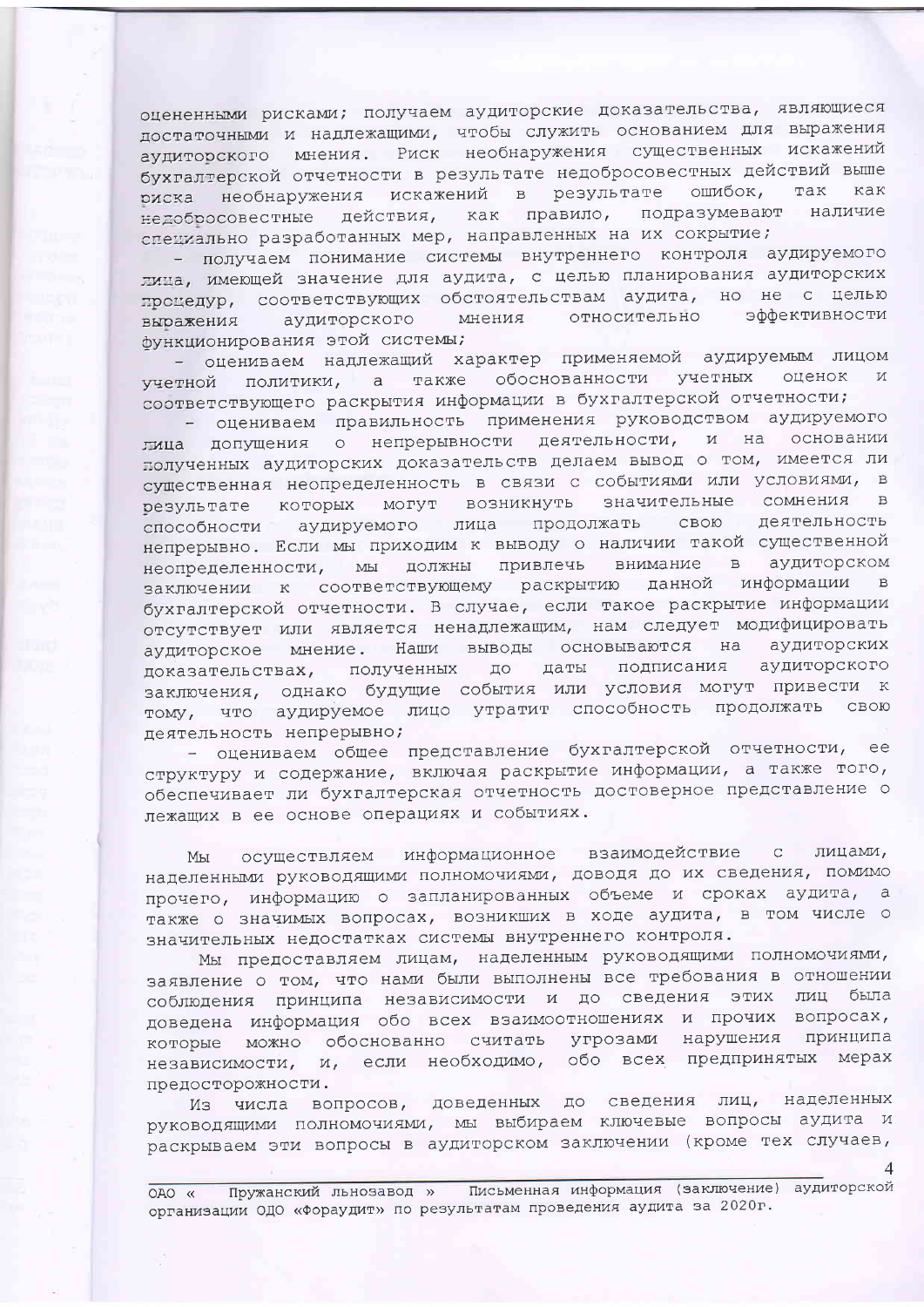оцененными рисками; получаем аудиторские доказательства, являющиеся достаточными и надлежащими, чтобы служить основанием для выражения аудиторского мнения. Риск необнаружения существенных искажений бухгалтерской отчетности в результате недобросовестных действий выше риска необнаружения искажений в результате ошибок, так как недобросовестные действия, как правило, подразумевают наличие специально разработанных мер, направленных на их сокрытие;

- получаем понимание системы внутреннего контроля аудируемого лица, имеющей значение для аудита, с целью планирования аудиторских процедур, соответствующих обстоятельствам аудита, но не с целью мнения относительно эффективности выражения аудиторского функционирования этой системы;

- оцениваем надлежащий характер применяемой аудируемым лицом учетной политики, а также обоснованности учетных оценок и соответствующего раскрытия информации в бухгалтерской отчетности;

- оцениваем правильность применения руководством аудируемого лица допущения о непрерывности деятельности, и на основании полученных аудиторских доказательств делаем вывод о том, имеется ли существенная неопределенность в связи с событиями или условиями, в результате которых могут возникнуть значительные сомнения в способности аудируемого лица продолжать свою деятельность непрерывно. Если мы приходим к выводу о наличии такой существенной неопределенности, мы должны привлечь внимание в аудиторском заключении к соответствующему раскрытию данной информации в бухгалтерской отчетности. В случае, если такое раскрытие информации отсутствует или является ненадлежащим, нам следует модифицировать аудиторское мнение. Наши выводы основываются на аудиторских доказательствах, полученных до даты подписания аудиторского заключения, однако будущие события или условия могут привести к тому, что аудируемое лицо утратит способность продолжать свою деятельность непрерывно;

- оцениваем общее представление бухгалтерской отчетности, ee структуру и содержание, включая раскрытие информации, а также того, обеспечивает ли бухгалтерская отчетность достоверное представление о лежащих в ее основе операциях и событиях.

осуществляем информационное взаимодействие с лицами, Мы наделенными руководящими полномочиями, доводя до их сведения, помимо прочего, информацию о запланированных объеме и сроках аудита, а также о значимых вопросах, возникших в ходе аудита, в том числе о значительных недостатках системы внутреннего контроля.

Мы предоставляем лицам, наделенным руководящими полномочиями, заявление о том, что нами были выполнены все требования в отношении соблюдения принципа независимости и до сведения этих лиц была доведена информация обо всех взаимоотношениях и прочих вопросах, которые можно обоснованно считать угрозами нарушения принципа независимости, и, если необходимо, обо всех предпринятых мерах предосторожности.

Из числа вопросов, доведенных до сведения лиц, наделенных руководящими полномочиями, мы выбираем ключевые вопросы аудита и раскрываем эти вопросы в аудиторском заключении (кроме тех случаев,

Пружанский льнозавод » Письменная информация (заключение) аудиторской OAO « организации ОДО «Фораудит» по результатам проведения аудита за 2020г.